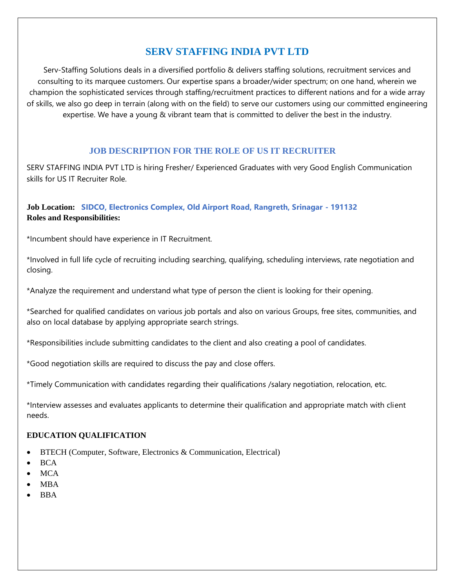# **SERV STAFFING INDIA PVT LTD**

Serv-Staffing Solutions deals in a diversified portfolio & delivers staffing solutions, recruitment services and consulting to its marquee customers. Our expertise spans a broader/wider spectrum; on one hand, wherein we champion the sophisticated services through staffing/recruitment practices to different nations and for a wide array of skills, we also go deep in terrain (along with on the field) to serve our customers using our committed engineering expertise. We have a young & vibrant team that is committed to deliver the best in the industry.

# **JOB DESCRIPTION FOR THE ROLE OF US IT RECRUITER**

SERV STAFFING INDIA PVT LTD is hiring Fresher/ Experienced Graduates with very Good English Communication skills for US IT Recruiter Role.

**Job Location: SIDCO, Electronics Complex, Old Airport Road, Rangreth, Srinagar - 191132 Roles and Responsibilities:**

\*Incumbent should have experience in IT Recruitment.

\*Involved in full life cycle of recruiting including searching, qualifying, scheduling interviews, rate negotiation and closing.

\*Analyze the requirement and understand what type of person the client is looking for their opening.

\*Searched for qualified candidates on various job portals and also on various Groups, free sites, communities, and also on local database by applying appropriate search strings.

\*Responsibilities include submitting candidates to the client and also creating a pool of candidates.

\*Good negotiation skills are required to discuss the pay and close offers.

\*Timely Communication with candidates regarding their qualifications /salary negotiation, relocation, etc.

\*Interview assesses and evaluates applicants to determine their qualification and appropriate match with client needs.

## **EDUCATION QUALIFICATION**

- BTECH (Computer, Software, Electronics & Communication, Electrical)
- BCA
- MCA
- MBA
- BBA